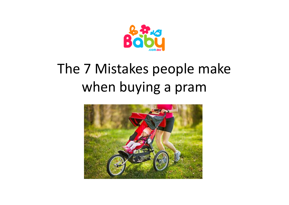

## The 7 Mistakes people make when buying a pram

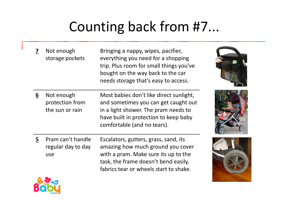## Counting back from #7...

**7** Not enough storage pocketsBringing a nappy, wipes, pacifier, everything you need for a shopping trip. Plus room for small things you've bought on the way back to the car needs storage that's easy to access.**6** Not enough protection from Most babies don't like direct sunlight, and sometimes you can get caught out the sun or rain in a light shower. The pram needs to have built in protection to keep baby comfortable (and no tears).**5** Pram can't handle regular day to day useEscalators, gutters, grass, sand, its amazing how much ground you cover with a pram. Make sure its up to the task, the frame doesn't bend easily, fabrics tear or wheels start to shake.

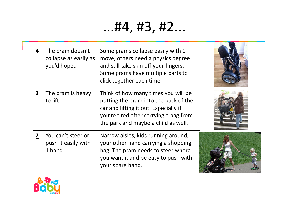## ...#4, #3, #2...

**4** The pram doesn't collapse as easily asyou'd hopedSome prams collapse easily with 1 move, others need a physics degree and still take skin off your fingers. Some prams have multiple parts to click together each time.**3** The pram is heavy to liftThink of how many times you will be putting the pram into the back of the car and lifting it out. Especially if you're tired after carrying a bag from the park and maybe a child as well.**2** You can't steer or push it easily with 1 handNarrow aisles, kids running around, your other hand carrying a shopping bag. The pram needs to steer where you want it and be easy to push with your spare hand.